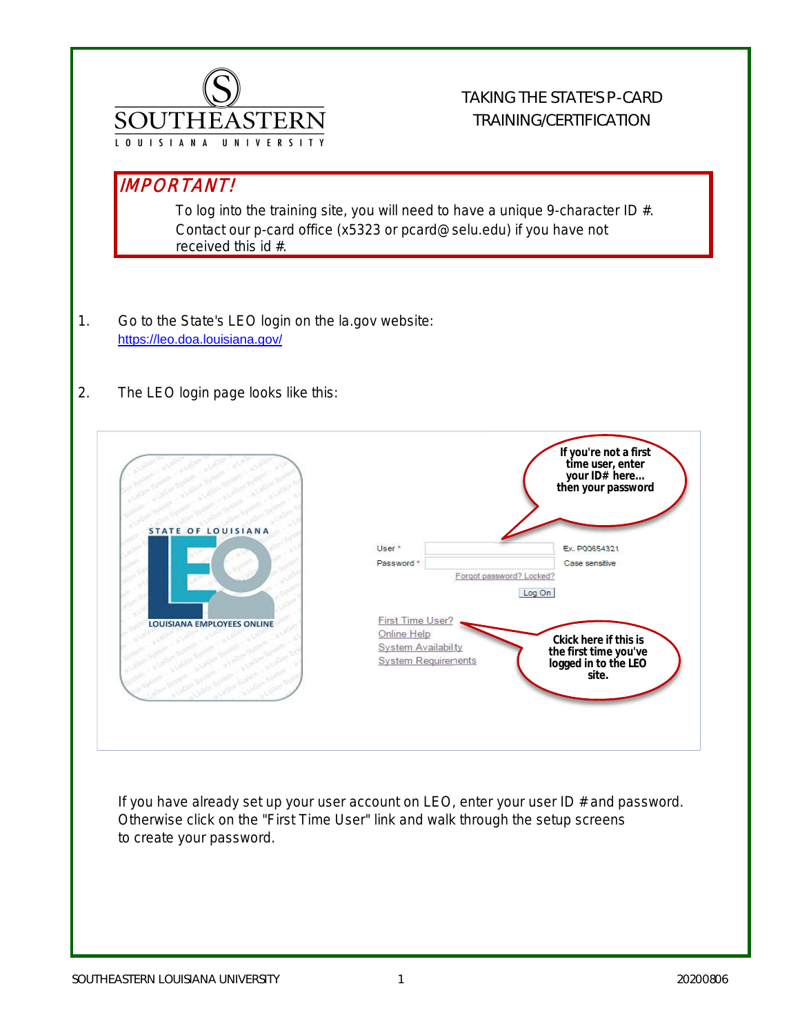

## TAKING THE STATE'S P-CARD TRAINING/CERTIFICATION

## IMPORTANT!

To log into the training site, you will need to have a unique 9-character ID #. Contact our p-card office (x5323 or pcard@selu.edu) if you have not received this id #.

- 1. Go to the State's LEO login on the la.gov website: https://leo.doa.louisiana.gov/
- 2. The LEO login page looks like this:



If you have already set up your user account on LEO, enter your user ID # and password. Otherwise click on the "First Time User" link and walk through the setup screens to create your password.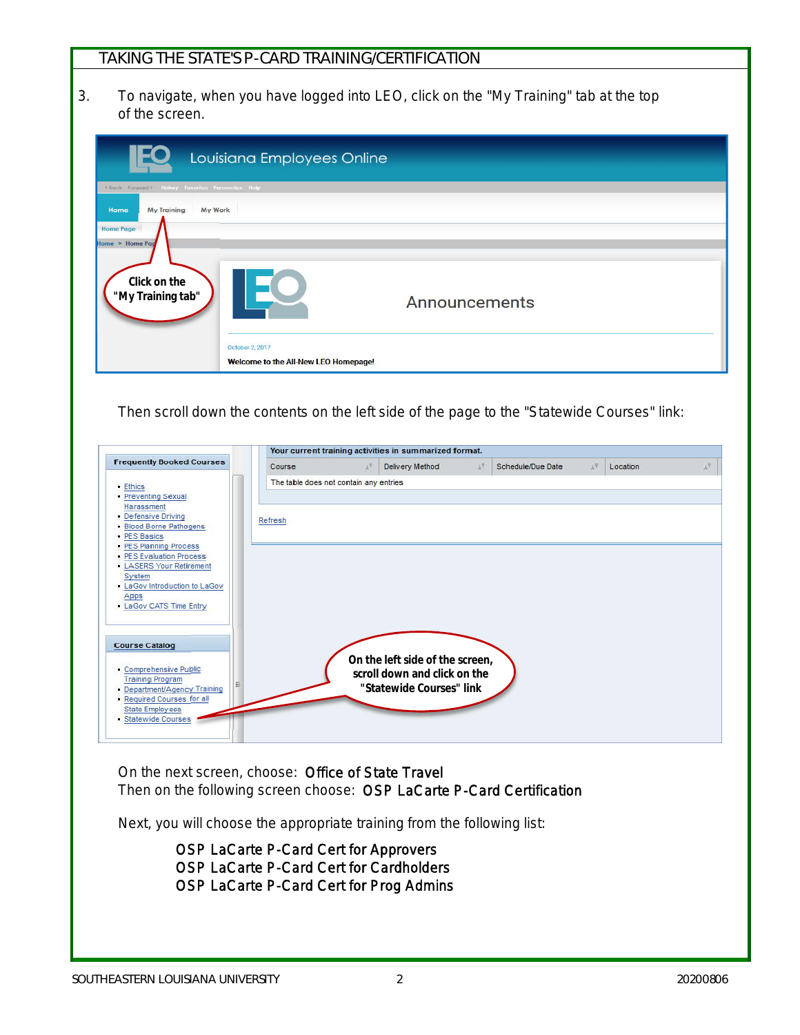## TAKING THE STATE'S P-CARD TRAINING/CERTIFICATION

3. To navigate, when you have logged into LEO, click on the "My Training" tab at the top of the screen.

|                                                                                                                                    | Louisiana Employees Online                              |               |
|------------------------------------------------------------------------------------------------------------------------------------|---------------------------------------------------------|---------------|
| (Back Forward). History Favorites Personalize Help<br><b>My Training</b><br>Home<br>My Work<br><b>Home Page</b><br>Home > Home Pag |                                                         |               |
| Click on the<br>"My Training tab"                                                                                                  |                                                         | Announcements |
|                                                                                                                                    | October 2, 2017<br>Welcome to the All-New LEO Homepage! |               |

Then scroll down the contents on the left side of the page to the "Statewide Courses" link:

|                                                                                             |                                        |                    | Your current training activities in summarized format.                                      |     |                   |                       |          |                       |
|---------------------------------------------------------------------------------------------|----------------------------------------|--------------------|---------------------------------------------------------------------------------------------|-----|-------------------|-----------------------|----------|-----------------------|
| <b>Frequently Booked Courses</b>                                                            | Course                                 | $\pm \overline{z}$ | Delivery Method                                                                             | 主字: | Schedule/Due Date | $\pm \overline{\tau}$ | Location | $\pm \overline{\tau}$ |
| - Ethics<br>Preventing Sexual                                                               | The table does not contain any entries |                    |                                                                                             |     |                   |                       |          |                       |
| Harassment<br>Defensive Driving<br>Blood Borne Pathogens<br><b>PES Basics</b>               | Refresh                                |                    |                                                                                             |     |                   |                       |          |                       |
| PES Planning Process<br>- PES Evaluation Process<br><b>LASERS Your Retirement</b><br>System |                                        |                    |                                                                                             |     |                   |                       |          |                       |
| - LaGov Introduction to LaGov<br>Apps<br>- LaGov CATS Time Entry                            |                                        |                    |                                                                                             |     |                   |                       |          |                       |
| <b>Course Catalog</b>                                                                       |                                        |                    |                                                                                             |     |                   |                       |          |                       |
| Comprehensive Public<br><b>Training Program</b><br>Department/Agency Training               |                                        |                    | On the left side of the screen,<br>scroll down and click on the<br>"Statewide Courses" link |     |                   |                       |          |                       |
| Required Courses for all<br><b>State Employees</b><br>Statewide Courses                     |                                        |                    |                                                                                             |     |                   |                       |          |                       |
|                                                                                             |                                        |                    |                                                                                             |     |                   |                       |          |                       |

On the next screen, choose: Office of State Travel Then on the following screen choose: OSP LaCarte P-Card Certification

Next, you will choose the appropriate training from the following list:

OSP LaCarte P-Card Cert for Approvers OSP LaCarte P-Card Cert for Cardholders OSP LaCarte P-Card Cert for Prog Admins